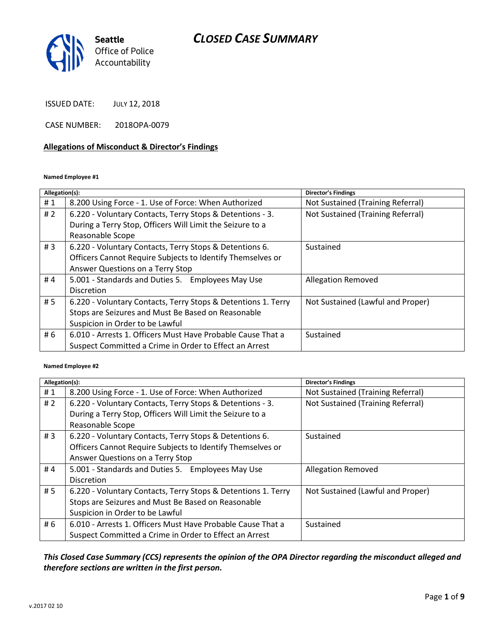

ISSUED DATE: JULY 12, 2018

CASE NUMBER: 2018OPA-0079

#### **Allegations of Misconduct & Director's Findings**

#### **Named Employee #1**

| Allegation(s): |                                                               | Director's Findings               |
|----------------|---------------------------------------------------------------|-----------------------------------|
| #1             | 8.200 Using Force - 1. Use of Force: When Authorized          | Not Sustained (Training Referral) |
| #2             | 6.220 - Voluntary Contacts, Terry Stops & Detentions - 3.     | Not Sustained (Training Referral) |
|                | During a Terry Stop, Officers Will Limit the Seizure to a     |                                   |
|                | Reasonable Scope                                              |                                   |
| #3             | 6.220 - Voluntary Contacts, Terry Stops & Detentions 6.       | Sustained                         |
|                | Officers Cannot Require Subjects to Identify Themselves or    |                                   |
|                | Answer Questions on a Terry Stop                              |                                   |
| #4             | 5.001 - Standards and Duties 5. Employees May Use             | <b>Allegation Removed</b>         |
|                | <b>Discretion</b>                                             |                                   |
| # 5            | 6.220 - Voluntary Contacts, Terry Stops & Detentions 1. Terry | Not Sustained (Lawful and Proper) |
|                | Stops are Seizures and Must Be Based on Reasonable            |                                   |
|                | Suspicion in Order to be Lawful                               |                                   |
| # 6            | 6.010 - Arrests 1. Officers Must Have Probable Cause That a   | Sustained                         |
|                | Suspect Committed a Crime in Order to Effect an Arrest        |                                   |

#### **Named Employee #2**

| Allegation(s): |                                                               | Director's Findings               |
|----------------|---------------------------------------------------------------|-----------------------------------|
| #1             | 8.200 Using Force - 1. Use of Force: When Authorized          | Not Sustained (Training Referral) |
| #2             | 6.220 - Voluntary Contacts, Terry Stops & Detentions - 3.     | Not Sustained (Training Referral) |
|                | During a Terry Stop, Officers Will Limit the Seizure to a     |                                   |
|                | Reasonable Scope                                              |                                   |
| #3             | 6.220 - Voluntary Contacts, Terry Stops & Detentions 6.       | Sustained                         |
|                | Officers Cannot Require Subjects to Identify Themselves or    |                                   |
|                | Answer Questions on a Terry Stop                              |                                   |
| #4             | 5.001 - Standards and Duties 5. Employees May Use             | <b>Allegation Removed</b>         |
|                | <b>Discretion</b>                                             |                                   |
| # 5            | 6.220 - Voluntary Contacts, Terry Stops & Detentions 1. Terry | Not Sustained (Lawful and Proper) |
|                | Stops are Seizures and Must Be Based on Reasonable            |                                   |
|                | Suspicion in Order to be Lawful                               |                                   |
| # 6            | 6.010 - Arrests 1. Officers Must Have Probable Cause That a   | Sustained                         |
|                | Suspect Committed a Crime in Order to Effect an Arrest        |                                   |

### *This Closed Case Summary (CCS) represents the opinion of the OPA Director regarding the misconduct alleged and therefore sections are written in the first person.*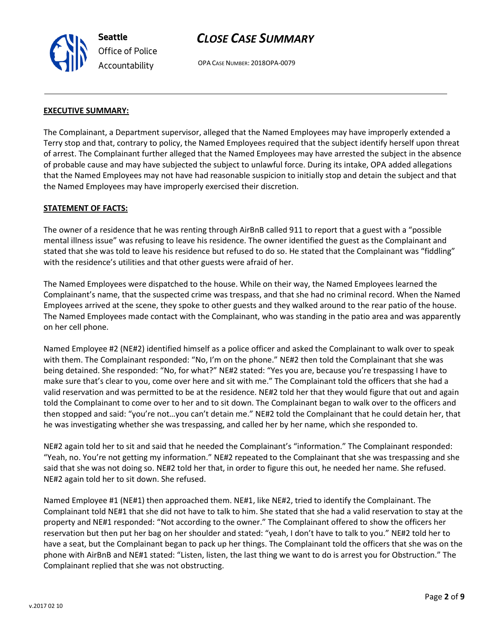

OPA CASE NUMBER: 2018OPA-0079

#### **EXECUTIVE SUMMARY:**

The Complainant, a Department supervisor, alleged that the Named Employees may have improperly extended a Terry stop and that, contrary to policy, the Named Employees required that the subject identify herself upon threat of arrest. The Complainant further alleged that the Named Employees may have arrested the subject in the absence of probable cause and may have subjected the subject to unlawful force. During its intake, OPA added allegations that the Named Employees may not have had reasonable suspicion to initially stop and detain the subject and that the Named Employees may have improperly exercised their discretion.

#### **STATEMENT OF FACTS:**

The owner of a residence that he was renting through AirBnB called 911 to report that a guest with a "possible mental illness issue" was refusing to leave his residence. The owner identified the guest as the Complainant and stated that she was told to leave his residence but refused to do so. He stated that the Complainant was "fiddling" with the residence's utilities and that other guests were afraid of her.

The Named Employees were dispatched to the house. While on their way, the Named Employees learned the Complainant's name, that the suspected crime was trespass, and that she had no criminal record. When the Named Employees arrived at the scene, they spoke to other guests and they walked around to the rear patio of the house. The Named Employees made contact with the Complainant, who was standing in the patio area and was apparently on her cell phone.

Named Employee #2 (NE#2) identified himself as a police officer and asked the Complainant to walk over to speak with them. The Complainant responded: "No, I'm on the phone." NE#2 then told the Complainant that she was being detained. She responded: "No, for what?" NE#2 stated: "Yes you are, because you're trespassing I have to make sure that's clear to you, come over here and sit with me." The Complainant told the officers that she had a valid reservation and was permitted to be at the residence. NE#2 told her that they would figure that out and again told the Complainant to come over to her and to sit down. The Complainant began to walk over to the officers and then stopped and said: "you're not…you can't detain me." NE#2 told the Complainant that he could detain her, that he was investigating whether she was trespassing, and called her by her name, which she responded to.

NE#2 again told her to sit and said that he needed the Complainant's "information." The Complainant responded: "Yeah, no. You're not getting my information." NE#2 repeated to the Complainant that she was trespassing and she said that she was not doing so. NE#2 told her that, in order to figure this out, he needed her name. She refused. NE#2 again told her to sit down. She refused.

Named Employee #1 (NE#1) then approached them. NE#1, like NE#2, tried to identify the Complainant. The Complainant told NE#1 that she did not have to talk to him. She stated that she had a valid reservation to stay at the property and NE#1 responded: "Not according to the owner." The Complainant offered to show the officers her reservation but then put her bag on her shoulder and stated: "yeah, I don't have to talk to you." NE#2 told her to have a seat, but the Complainant began to pack up her things. The Complainant told the officers that she was on the phone with AirBnB and NE#1 stated: "Listen, listen, the last thing we want to do is arrest you for Obstruction." The Complainant replied that she was not obstructing.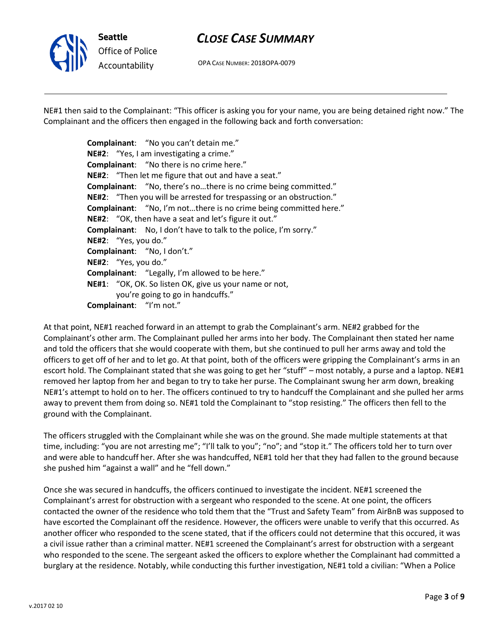

OPA CASE NUMBER: 2018OPA-0079

NE#1 then said to the Complainant: "This officer is asking you for your name, you are being detained right now." The Complainant and the officers then engaged in the following back and forth conversation:

> **Complainant**: "No you can't detain me." **NE#2**: "Yes, I am investigating a crime." **Complainant**: "No there is no crime here." **NE#2**: "Then let me figure that out and have a seat." **Complainant**: "No, there's no…there is no crime being committed." **NE#2**: "Then you will be arrested for trespassing or an obstruction." **Complainant**: "No, I'm not…there is no crime being committed here." **NE#2**: "OK, then have a seat and let's figure it out." **Complainant**: No, I don't have to talk to the police, I'm sorry." **NE#2**: "Yes, you do." **Complainant**: "No, I don't." **NE#2**: "Yes, you do." **Complainant**: "Legally, I'm allowed to be here." **NE#1**: "OK, OK. So listen OK, give us your name or not, you're going to go in handcuffs." **Complainant**: "I'm not."

At that point, NE#1 reached forward in an attempt to grab the Complainant's arm. NE#2 grabbed for the Complainant's other arm. The Complainant pulled her arms into her body. The Complainant then stated her name and told the officers that she would cooperate with them, but she continued to pull her arms away and told the officers to get off of her and to let go. At that point, both of the officers were gripping the Complainant's arms in an escort hold. The Complainant stated that she was going to get her "stuff" – most notably, a purse and a laptop. NE#1 removed her laptop from her and began to try to take her purse. The Complainant swung her arm down, breaking NE#1's attempt to hold on to her. The officers continued to try to handcuff the Complainant and she pulled her arms away to prevent them from doing so. NE#1 told the Complainant to "stop resisting." The officers then fell to the ground with the Complainant.

The officers struggled with the Complainant while she was on the ground. She made multiple statements at that time, including: "you are not arresting me"; "I'll talk to you"; "no"; and "stop it." The officers told her to turn over and were able to handcuff her. After she was handcuffed, NE#1 told her that they had fallen to the ground because she pushed him "against a wall" and he "fell down."

Once she was secured in handcuffs, the officers continued to investigate the incident. NE#1 screened the Complainant's arrest for obstruction with a sergeant who responded to the scene. At one point, the officers contacted the owner of the residence who told them that the "Trust and Safety Team" from AirBnB was supposed to have escorted the Complainant off the residence. However, the officers were unable to verify that this occurred. As another officer who responded to the scene stated, that if the officers could not determine that this occured, it was a civil issue rather than a criminal matter. NE#1 screened the Complainant's arrest for obstruction with a sergeant who responded to the scene. The sergeant asked the officers to explore whether the Complainant had committed a burglary at the residence. Notably, while conducting this further investigation, NE#1 told a civilian: "When a Police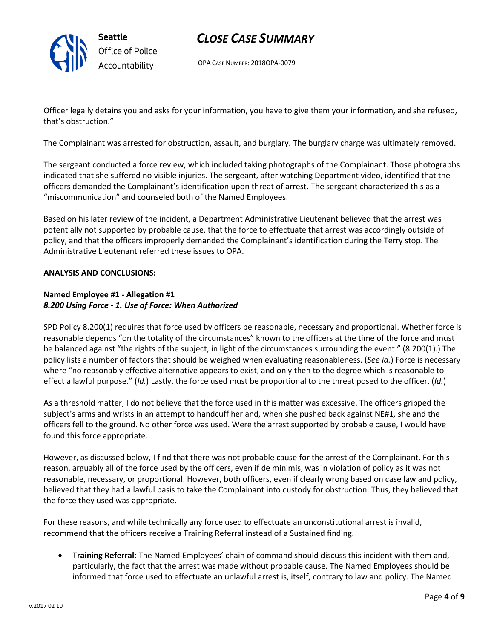

OPA CASE NUMBER: 2018OPA-0079

Officer legally detains you and asks for your information, you have to give them your information, and she refused, that's obstruction."

The Complainant was arrested for obstruction, assault, and burglary. The burglary charge was ultimately removed.

The sergeant conducted a force review, which included taking photographs of the Complainant. Those photographs indicated that she suffered no visible injuries. The sergeant, after watching Department video, identified that the officers demanded the Complainant's identification upon threat of arrest. The sergeant characterized this as a "miscommunication" and counseled both of the Named Employees.

Based on his later review of the incident, a Department Administrative Lieutenant believed that the arrest was potentially not supported by probable cause, that the force to effectuate that arrest was accordingly outside of policy, and that the officers improperly demanded the Complainant's identification during the Terry stop. The Administrative Lieutenant referred these issues to OPA.

#### **ANALYSIS AND CONCLUSIONS:**

### **Named Employee #1 - Allegation #1** *8.200 Using Force - 1. Use of Force: When Authorized*

SPD Policy 8.200(1) requires that force used by officers be reasonable, necessary and proportional. Whether force is reasonable depends "on the totality of the circumstances" known to the officers at the time of the force and must be balanced against "the rights of the subject, in light of the circumstances surrounding the event." (8.200(1).) The policy lists a number of factors that should be weighed when evaluating reasonableness. (*See id.*) Force is necessary where "no reasonably effective alternative appears to exist, and only then to the degree which is reasonable to effect a lawful purpose." (*Id.*) Lastly, the force used must be proportional to the threat posed to the officer. (*Id.*)

As a threshold matter, I do not believe that the force used in this matter was excessive. The officers gripped the subject's arms and wrists in an attempt to handcuff her and, when she pushed back against NE#1, she and the officers fell to the ground. No other force was used. Were the arrest supported by probable cause, I would have found this force appropriate.

However, as discussed below, I find that there was not probable cause for the arrest of the Complainant. For this reason, arguably all of the force used by the officers, even if de minimis, was in violation of policy as it was not reasonable, necessary, or proportional. However, both officers, even if clearly wrong based on case law and policy, believed that they had a lawful basis to take the Complainant into custody for obstruction. Thus, they believed that the force they used was appropriate.

For these reasons, and while technically any force used to effectuate an unconstitutional arrest is invalid, I recommend that the officers receive a Training Referral instead of a Sustained finding.

• **Training Referral**: The Named Employees' chain of command should discuss this incident with them and, particularly, the fact that the arrest was made without probable cause. The Named Employees should be informed that force used to effectuate an unlawful arrest is, itself, contrary to law and policy. The Named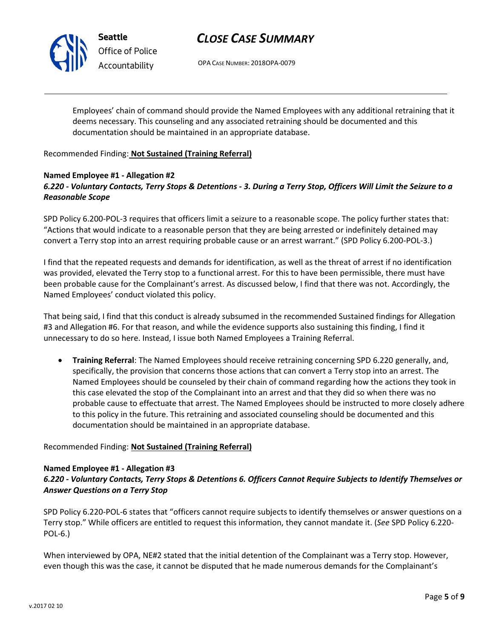

**Seattle** *Office of Police Accountability*

# *CLOSE CASE SUMMARY*

OPA CASE NUMBER: 2018OPA-0079

Employees' chain of command should provide the Named Employees with any additional retraining that it deems necessary. This counseling and any associated retraining should be documented and this documentation should be maintained in an appropriate database.

#### Recommended Finding: **Not Sustained (Training Referral)**

#### **Named Employee #1 - Allegation #2** *6.220 - Voluntary Contacts, Terry Stops & Detentions - 3. During a Terry Stop, Officers Will Limit the Seizure to a Reasonable Scope*

SPD Policy 6.200-POL-3 requires that officers limit a seizure to a reasonable scope. The policy further states that: "Actions that would indicate to a reasonable person that they are being arrested or indefinitely detained may convert a Terry stop into an arrest requiring probable cause or an arrest warrant." (SPD Policy 6.200-POL-3.)

I find that the repeated requests and demands for identification, as well as the threat of arrest if no identification was provided, elevated the Terry stop to a functional arrest. For this to have been permissible, there must have been probable cause for the Complainant's arrest. As discussed below, I find that there was not. Accordingly, the Named Employees' conduct violated this policy.

That being said, I find that this conduct is already subsumed in the recommended Sustained findings for Allegation #3 and Allegation #6. For that reason, and while the evidence supports also sustaining this finding, I find it unnecessary to do so here. Instead, I issue both Named Employees a Training Referral.

• **Training Referral**: The Named Employees should receive retraining concerning SPD 6.220 generally, and, specifically, the provision that concerns those actions that can convert a Terry stop into an arrest. The Named Employees should be counseled by their chain of command regarding how the actions they took in this case elevated the stop of the Complainant into an arrest and that they did so when there was no probable cause to effectuate that arrest. The Named Employees should be instructed to more closely adhere to this policy in the future. This retraining and associated counseling should be documented and this documentation should be maintained in an appropriate database.

#### Recommended Finding: **Not Sustained (Training Referral)**

#### **Named Employee #1 - Allegation #3**

### *6.220 - Voluntary Contacts, Terry Stops & Detentions 6. Officers Cannot Require Subjects to Identify Themselves or Answer Questions on a Terry Stop*

SPD Policy 6.220-POL-6 states that "officers cannot require subjects to identify themselves or answer questions on a Terry stop." While officers are entitled to request this information, they cannot mandate it. (*See* SPD Policy 6.220- POL-6.)

When interviewed by OPA, NE#2 stated that the initial detention of the Complainant was a Terry stop. However, even though this was the case, it cannot be disputed that he made numerous demands for the Complainant's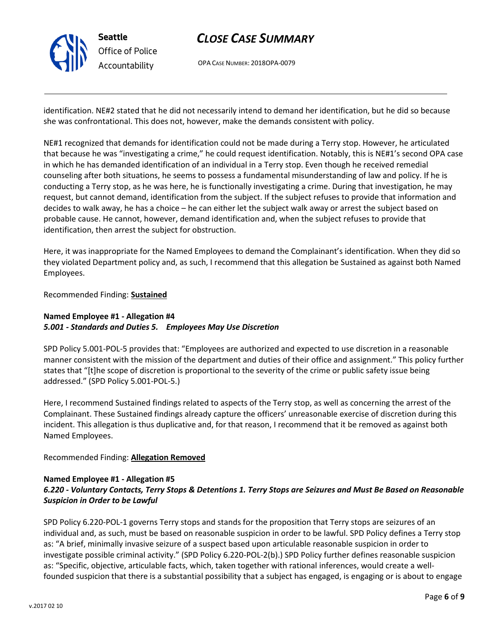

OPA CASE NUMBER: 2018OPA-0079

identification. NE#2 stated that he did not necessarily intend to demand her identification, but he did so because she was confrontational. This does not, however, make the demands consistent with policy.

NE#1 recognized that demands for identification could not be made during a Terry stop. However, he articulated that because he was "investigating a crime," he could request identification. Notably, this is NE#1's second OPA case in which he has demanded identification of an individual in a Terry stop. Even though he received remedial counseling after both situations, he seems to possess a fundamental misunderstanding of law and policy. If he is conducting a Terry stop, as he was here, he is functionally investigating a crime. During that investigation, he may request, but cannot demand, identification from the subject. If the subject refuses to provide that information and decides to walk away, he has a choice – he can either let the subject walk away or arrest the subject based on probable cause. He cannot, however, demand identification and, when the subject refuses to provide that identification, then arrest the subject for obstruction.

Here, it was inappropriate for the Named Employees to demand the Complainant's identification. When they did so they violated Department policy and, as such, I recommend that this allegation be Sustained as against both Named Employees.

Recommended Finding: **Sustained**

### **Named Employee #1 - Allegation #4** *5.001 - Standards and Duties 5. Employees May Use Discretion*

SPD Policy 5.001-POL-5 provides that: "Employees are authorized and expected to use discretion in a reasonable manner consistent with the mission of the department and duties of their office and assignment." This policy further states that "[t]he scope of discretion is proportional to the severity of the crime or public safety issue being addressed." (SPD Policy 5.001-POL-5.)

Here, I recommend Sustained findings related to aspects of the Terry stop, as well as concerning the arrest of the Complainant. These Sustained findings already capture the officers' unreasonable exercise of discretion during this incident. This allegation is thus duplicative and, for that reason, I recommend that it be removed as against both Named Employees.

### Recommended Finding: **Allegation Removed**

### **Named Employee #1 - Allegation #5**

### *6.220 - Voluntary Contacts, Terry Stops & Detentions 1. Terry Stops are Seizures and Must Be Based on Reasonable Suspicion in Order to be Lawful*

SPD Policy 6.220-POL-1 governs Terry stops and stands for the proposition that Terry stops are seizures of an individual and, as such, must be based on reasonable suspicion in order to be lawful. SPD Policy defines a Terry stop as: "A brief, minimally invasive seizure of a suspect based upon articulable reasonable suspicion in order to investigate possible criminal activity." (SPD Policy 6.220-POL-2(b).) SPD Policy further defines reasonable suspicion as: "Specific, objective, articulable facts, which, taken together with rational inferences, would create a wellfounded suspicion that there is a substantial possibility that a subject has engaged, is engaging or is about to engage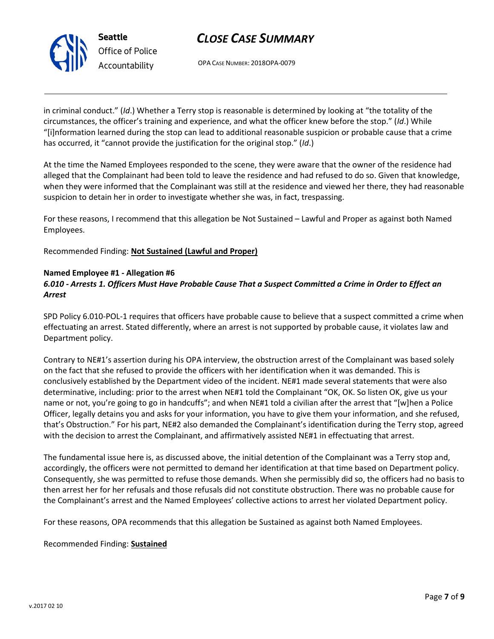

OPA CASE NUMBER: 2018OPA-0079

in criminal conduct." (*Id*.) Whether a Terry stop is reasonable is determined by looking at "the totality of the circumstances, the officer's training and experience, and what the officer knew before the stop." (*Id*.) While "[i]nformation learned during the stop can lead to additional reasonable suspicion or probable cause that a crime has occurred, it "cannot provide the justification for the original stop." (*Id*.)

At the time the Named Employees responded to the scene, they were aware that the owner of the residence had alleged that the Complainant had been told to leave the residence and had refused to do so. Given that knowledge, when they were informed that the Complainant was still at the residence and viewed her there, they had reasonable suspicion to detain her in order to investigate whether she was, in fact, trespassing.

For these reasons, I recommend that this allegation be Not Sustained – Lawful and Proper as against both Named Employees.

Recommended Finding: **Not Sustained (Lawful and Proper)**

#### **Named Employee #1 - Allegation #6**

### *6.010 - Arrests 1. Officers Must Have Probable Cause That a Suspect Committed a Crime in Order to Effect an Arrest*

SPD Policy 6.010-POL-1 requires that officers have probable cause to believe that a suspect committed a crime when effectuating an arrest. Stated differently, where an arrest is not supported by probable cause, it violates law and Department policy.

Contrary to NE#1's assertion during his OPA interview, the obstruction arrest of the Complainant was based solely on the fact that she refused to provide the officers with her identification when it was demanded. This is conclusively established by the Department video of the incident. NE#1 made several statements that were also determinative, including: prior to the arrest when NE#1 told the Complainant "OK, OK. So listen OK, give us your name or not, you're going to go in handcuffs"; and when NE#1 told a civilian after the arrest that "[w]hen a Police Officer, legally detains you and asks for your information, you have to give them your information, and she refused, that's Obstruction." For his part, NE#2 also demanded the Complainant's identification during the Terry stop, agreed with the decision to arrest the Complainant, and affirmatively assisted NE#1 in effectuating that arrest.

The fundamental issue here is, as discussed above, the initial detention of the Complainant was a Terry stop and, accordingly, the officers were not permitted to demand her identification at that time based on Department policy. Consequently, she was permitted to refuse those demands. When she permissibly did so, the officers had no basis to then arrest her for her refusals and those refusals did not constitute obstruction. There was no probable cause for the Complainant's arrest and the Named Employees' collective actions to arrest her violated Department policy.

For these reasons, OPA recommends that this allegation be Sustained as against both Named Employees.

Recommended Finding: **Sustained**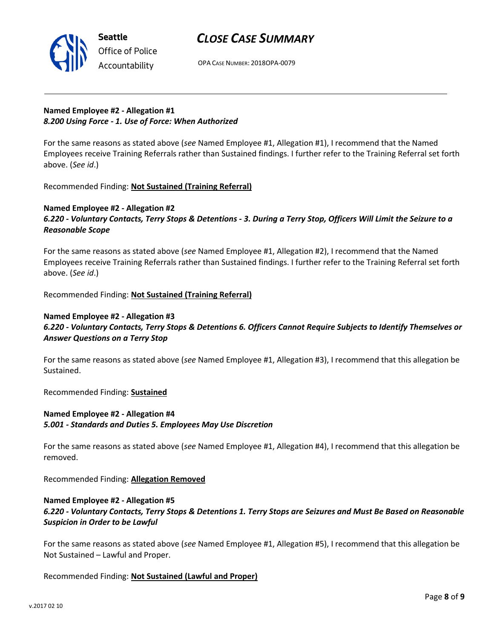

OPA CASE NUMBER: 2018OPA-0079

## **Named Employee #2 - Allegation #1** *8.200 Using Force - 1. Use of Force: When Authorized*

For the same reasons as stated above (*see* Named Employee #1, Allegation #1), I recommend that the Named Employees receive Training Referrals rather than Sustained findings. I further refer to the Training Referral set forth above. (*See id*.)

Recommended Finding: **Not Sustained (Training Referral)**

### **Named Employee #2 - Allegation #2**

*6.220 - Voluntary Contacts, Terry Stops & Detentions - 3. During a Terry Stop, Officers Will Limit the Seizure to a Reasonable Scope*

For the same reasons as stated above (*see* Named Employee #1, Allegation #2), I recommend that the Named Employees receive Training Referrals rather than Sustained findings. I further refer to the Training Referral set forth above. (*See id*.)

Recommended Finding: **Not Sustained (Training Referral)**

#### **Named Employee #2 - Allegation #3** *6.220 - Voluntary Contacts, Terry Stops & Detentions 6. Officers Cannot Require Subjects to Identify Themselves or Answer Questions on a Terry Stop*

For the same reasons as stated above (*see* Named Employee #1, Allegation #3), I recommend that this allegation be Sustained.

Recommended Finding: **Sustained**

### **Named Employee #2 - Allegation #4** *5.001 - Standards and Duties 5. Employees May Use Discretion*

For the same reasons as stated above (*see* Named Employee #1, Allegation #4), I recommend that this allegation be removed.

Recommended Finding: **Allegation Removed**

### **Named Employee #2 - Allegation #5** *6.220 - Voluntary Contacts, Terry Stops & Detentions 1. Terry Stops are Seizures and Must Be Based on Reasonable Suspicion in Order to be Lawful*

For the same reasons as stated above (*see* Named Employee #1, Allegation #5), I recommend that this allegation be Not Sustained – Lawful and Proper.

### Recommended Finding: **Not Sustained (Lawful and Proper)**